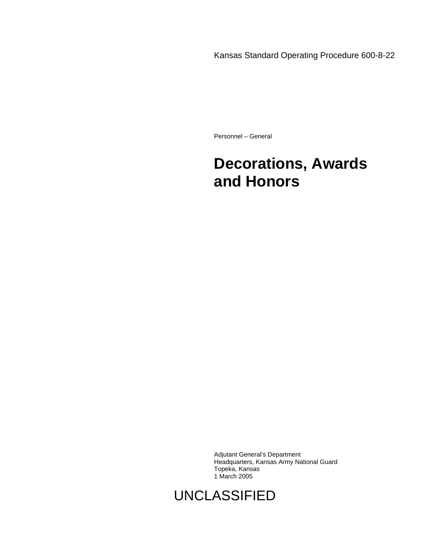Kansas Standard Operating Procedure 600-8-22

Personnel – General

# **Decorations, Awards and Honors**

 Adjutant General's Department Headquarters, Kansas Army National Guard Topeka, Kansas 1 March 2005

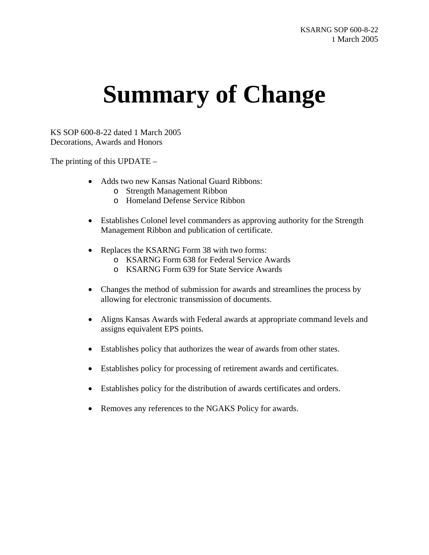# **Summary of Change**

KS SOP 600-8-22 dated 1 March 2005 Decorations, Awards and Honors

The printing of this UPDATE –

- Adds two new Kansas National Guard Ribbons:
	- o Strength Management Ribbon
	- o Homeland Defense Service Ribbon
- Establishes Colonel level commanders as approving authority for the Strength Management Ribbon and publication of certificate.
- Replaces the KSARNG Form 38 with two forms:
	- o KSARNG Form 638 for Federal Service Awards
	- o KSARNG Form 639 for State Service Awards
- Changes the method of submission for awards and streamlines the process by allowing for electronic transmission of documents.
- Aligns Kansas Awards with Federal awards at appropriate command levels and assigns equivalent EPS points.
- Establishes policy that authorizes the wear of awards from other states.
- Establishes policy for processing of retirement awards and certificates.
- Establishes policy for the distribution of awards certificates and orders.
- Removes any references to the NGAKS Policy for awards.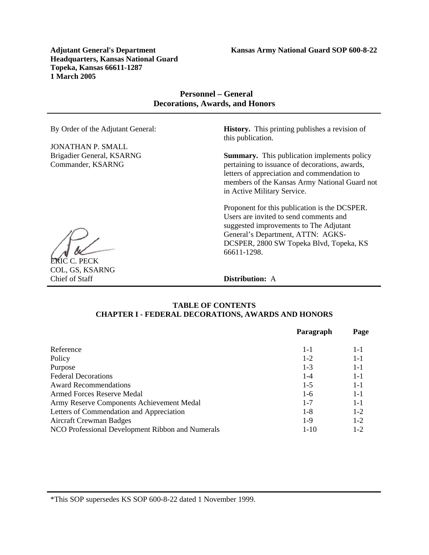**Headquarters, Kansas National Guard Topeka, Kansas 66611-1287 1 March 2005** 

# **Personnel – General Decorations, Awards, and Honors**

JONATHAN P. SMALL

By Order of the Adjutant General: **History.** This printing publishes a revision of this publication.

Brigadier General, KSARNG **Summary.** This publication implements policy Commander, KSARNG pertaining to issuance of decorations, awards, letters of appreciation and commendation to members of the Kansas Army National Guard not in Active Military Service.

> Proponent for this publication is the DCSPER. Users are invited to send comments and suggested improvements to The Adjutant General's Department, ATTN: AGKS- DCSPER, 2800 SW Topeka Blvd, Topeka, KS 66611-1298.

> > $\overline{\phantom{a}}$

# **TABLE OF CONTENTS CHAPTER I - FEDERAL DECORATIONS, AWARDS AND HONORS**

|                                                  | Paragraph | Page    |
|--------------------------------------------------|-----------|---------|
| Reference                                        | $1 - 1$   | $1 - 1$ |
| Policy                                           | $1 - 2$   | $1 - 1$ |
| Purpose                                          | $1 - 3$   | $1 - 1$ |
| <b>Federal Decorations</b>                       | $1 - 4$   | $1 - 1$ |
| <b>Award Recommendations</b>                     | $1 - 5$   | $1 - 1$ |
| Armed Forces Reserve Medal                       | $1-6$     | $1 - 1$ |
| Army Reserve Components Achievement Medal        | $1 - 7$   | $1 - 1$ |
| Letters of Commendation and Appreciation         | $1 - 8$   | $1-2$   |
| <b>Aircraft Crewman Badges</b>                   | $1-9$     | $1 - 2$ |
| NCO Professional Development Ribbon and Numerals | $1 - 10$  | $1-2$   |

\*This SOP supersedes KS SOP 600-8-22 dated 1 November 1999.

ERIC C. PECK

COL, GS, KSARNG Chief of Staff **Distribution:** A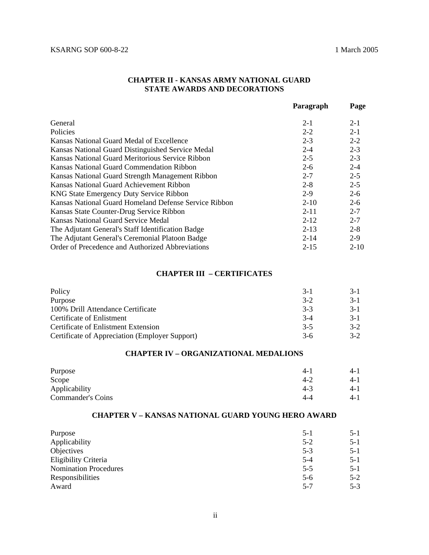# KSARNG SOP 600-8-22 1 March 2005

# **CHAPTER II - KANSAS ARMY NATIONAL GUARD STATE AWARDS AND DECORATIONS**

|                                                       | Paragraph | Page     |
|-------------------------------------------------------|-----------|----------|
| General                                               | $2 - 1$   | $2 - 1$  |
| Policies                                              | $2 - 2$   | $2 - 1$  |
| Kansas National Guard Medal of Excellence             | $2 - 3$   | $2 - 2$  |
| Kansas National Guard Distinguished Service Medal     | $2 - 4$   | $2 - 3$  |
| Kansas National Guard Meritorious Service Ribbon      | $2 - 5$   | $2 - 3$  |
| Kansas National Guard Commendation Ribbon             | $2-6$     | $2 - 4$  |
| Kansas National Guard Strength Management Ribbon      | $2 - 7$   | $2 - 5$  |
| Kansas National Guard Achievement Ribbon              | $2 - 8$   | $2 - 5$  |
| <b>KNG State Emergency Duty Service Ribbon</b>        | $2-9$     | $2-6$    |
| Kansas National Guard Homeland Defense Service Ribbon | $2 - 10$  | $2 - 6$  |
| Kansas State Counter-Drug Service Ribbon              | $2 - 11$  | $2 - 7$  |
| Kansas National Guard Service Medal                   | $2 - 12$  | $2 - 7$  |
| The Adjutant General's Staff Identification Badge     | $2 - 13$  | $2 - 8$  |
| The Adjutant General's Ceremonial Platoon Badge       | $2 - 14$  | $2-9$    |
| Order of Precedence and Authorized Abbreviations      | $2 - 15$  | $2 - 10$ |

# **CHAPTER III – CERTIFICATES**

| Policy                                         | $3-1$ | $3-1$ |
|------------------------------------------------|-------|-------|
| Purpose                                        | $3-2$ | $3-1$ |
| 100% Drill Attendance Certificate              | $3-3$ | $3-1$ |
| Certificate of Enlistment                      | $3-4$ | $3-1$ |
| Certificate of Enlistment Extension            | $3-5$ | $3-2$ |
| Certificate of Appreciation (Employer Support) | $3-6$ | $3-2$ |

# **CHAPTER IV – ORGANIZATIONAL MEDALIONS**

| Purpose           | $4-$    | $4 - 1$ |
|-------------------|---------|---------|
| Scope             | 4-2     | 4-1     |
| Applicability     | $4 - 3$ | $4 - 1$ |
| Commander's Coins | 4-4     | 4-1     |

### **CHAPTER V – KANSAS NATIONAL GUARD YOUNG HERO AWARD**

| Purpose                      | $5-1$   | $5 - 1$ |
|------------------------------|---------|---------|
| Applicability                | $5-2$   | $5-1$   |
| Objectives                   | $5-3$   | $5 - 1$ |
| Eligibility Criteria         | $5 - 4$ | $5 - 1$ |
| <b>Nomination Procedures</b> | $5-5$   | $5-1$   |
| Responsibilities             | $5-6$   | $5 - 2$ |
| Award                        | $5 - 7$ | $5-3$   |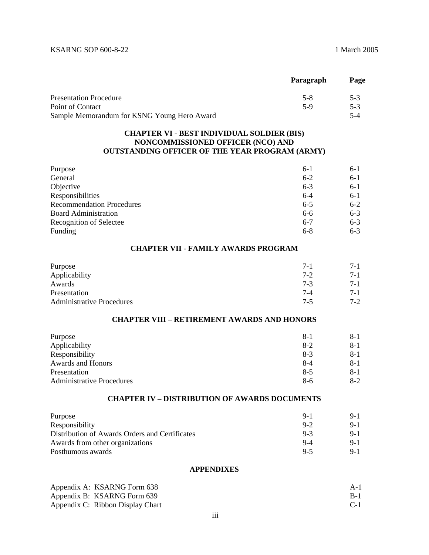#### KSARNG SOP 600-8-22 1 March 2005

|                                             | Paragraph | Page  |
|---------------------------------------------|-----------|-------|
| <b>Presentation Procedure</b>               | 5-8       | $5-3$ |
| Point of Contact                            | $5-9$     | $5-3$ |
| Sample Memorandum for KSNG Young Hero Award |           |       |

# **CHAPTER VI - BEST INDIVIDUAL SOLDIER (BIS) NONCOMMISSIONED OFFICER (NCO) AND OUTSTANDING OFFICER OF THE YEAR PROGRAM (ARMY)**

| Purpose                          | $6-1$   | $6-1$   |
|----------------------------------|---------|---------|
| General                          | $6 - 2$ | $6-1$   |
| Objective                        | $6 - 3$ | $6-1$   |
| Responsibilities                 | $6-4$   | $6-1$   |
| <b>Recommendation Procedures</b> | $6 - 5$ | $6-2$   |
| <b>Board Administration</b>      | $6 - 6$ | $6 - 3$ |
| <b>Recognition of Selectee</b>   | $6 - 7$ | $6 - 3$ |
| Funding                          | $6-8$   | $6 - 3$ |

#### **CHAPTER VII - FAMILY AWARDS PROGRAM**

| Purpose                          | $7 - 1$ | $7-1$   |
|----------------------------------|---------|---------|
| Applicability                    | $7 - 2$ | $7 - 1$ |
| Awards                           | $7-3$   | $7-1$   |
| Presentation                     | 7-4     | $7 - 1$ |
| <b>Administrative Procedures</b> | $7-5$   | $7-2$   |

# **CHAPTER VIII – RETIREMENT AWARDS AND HONORS**

| Purpose                          | 8-1   | 8-1   |
|----------------------------------|-------|-------|
| Applicability                    | $8-2$ | $8-1$ |
| Responsibility                   | $8-3$ | $8-1$ |
| Awards and Honors                | $8-4$ | $8-1$ |
| Presentation                     | $8-5$ | 8-1   |
| <b>Administrative Procedures</b> | 8-6   | $8-2$ |

# **CHAPTER IV – DISTRIBUTION OF AWARDS DOCUMENTS**

| Purpose                                        | $9-1$   | $9-1$ |
|------------------------------------------------|---------|-------|
| Responsibility                                 | $9 - 2$ | $9-1$ |
| Distribution of Awards Orders and Certificates | $9-3$   | $9-1$ |
| Awards from other organizations                | $9-4$   | $9-1$ |
| Posthumous awards                              | $9-5$   | $9-1$ |

## **APPENDIXES**

| Appendix A: KSARNG Form 638      | $A-1$ |
|----------------------------------|-------|
| Appendix B: KSARNG Form 639      | $B-1$ |
| Appendix C: Ribbon Display Chart | $C-1$ |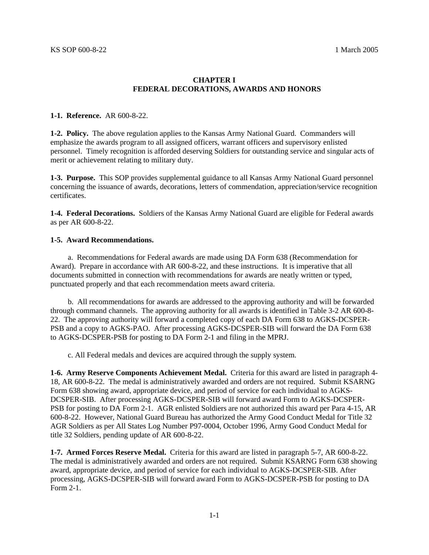## **CHAPTER I FEDERAL DECORATIONS, AWARDS AND HONORS**

### **1-1. Reference.** AR 600-8-22.

**1-2. Policy.** The above regulation applies to the Kansas Army National Guard. Commanders will emphasize the awards program to all assigned officers, warrant officers and supervisory enlisted personnel. Timely recognition is afforded deserving Soldiers for outstanding service and singular acts of merit or achievement relating to military duty.

**1-3. Purpose.** This SOP provides supplemental guidance to all Kansas Army National Guard personnel concerning the issuance of awards, decorations, letters of commendation, appreciation/service recognition certificates.

**1-4. Federal Decorations.** Soldiers of the Kansas Army National Guard are eligible for Federal awards as per AR 600-8-22.

# **1-5. Award Recommendations.**

 a. Recommendations for Federal awards are made using DA Form 638 (Recommendation for Award). Prepare in accordance with AR 600-8-22, and these instructions. It is imperative that all documents submitted in connection with recommendations for awards are neatly written or typed, punctuated properly and that each recommendation meets award criteria.

 b. All recommendations for awards are addressed to the approving authority and will be forwarded through command channels. The approving authority for all awards is identified in Table 3-2 AR 600-8- 22. The approving authority will forward a completed copy of each DA Form 638 to AGKS-DCSPER-PSB and a copy to AGKS-PAO. After processing AGKS-DCSPER-SIB will forward the DA Form 638 to AGKS-DCSPER-PSB for posting to DA Form 2-1 and filing in the MPRJ.

c. All Federal medals and devices are acquired through the supply system.

**1-6. Army Reserve Components Achievement Medal.** Criteria for this award are listed in paragraph 4- 18, AR 600-8-22. The medal is administratively awarded and orders are not required. Submit KSARNG Form 638 showing award, appropriate device, and period of service for each individual to AGKS-DCSPER-SIB. After processing AGKS-DCSPER-SIB will forward award Form to AGKS-DCSPER-PSB for posting to DA Form 2-1. AGR enlisted Soldiers are not authorized this award per Para 4-15, AR 600-8-22.However, National Guard Bureau has authorized the Army Good Conduct Medal for Title 32 AGR Soldiers as per All States Log Number P97-0004, October 1996, Army Good Conduct Medal for title 32 Soldiers, pending update of AR 600-8-22.

**1-7. Armed Forces Reserve Medal.** Criteria for this award are listed in paragraph 5-7, AR 600-8-22. The medal is administratively awarded and orders are not required. Submit KSARNG Form 638 showing award, appropriate device, and period of service for each individual to AGKS-DCSPER-SIB. After processing, AGKS-DCSPER-SIB will forward award Form to AGKS-DCSPER-PSB for posting to DA Form 2-1.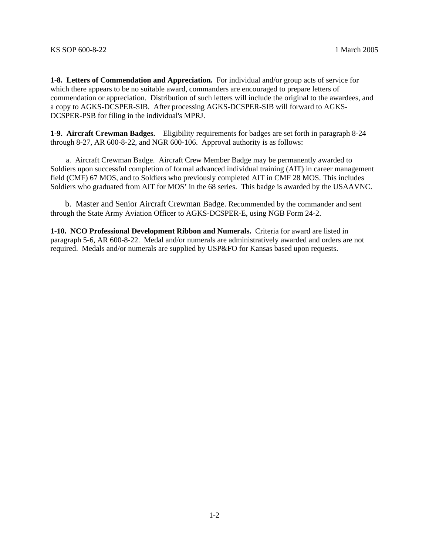**1-8. Letters of Commendation and Appreciation.** For individual and/or group acts of service for which there appears to be no suitable award, commanders are encouraged to prepare letters of commendation or appreciation. Distribution of such letters will include the original to the awardees, and a copy to AGKS-DCSPER-SIB. After processing AGKS-DCSPER-SIB will forward to AGKS-DCSPER-PSB for filing in the individual's MPRJ.

**1-9. Aircraft Crewman Badges.** Eligibility requirements for badges are set forth in paragraph 8-24 through 8-27, AR 600-8-22, and NGR 600-106. Approval authority is as follows:

 a. Aircraft Crewman Badge. Aircraft Crew Member Badge may be permanently awarded to Soldiers upon successful completion of formal advanced individual training (AIT) in career management field (CMF) 67 MOS, and to Soldiers who previously completed AIT in CMF 28 MOS. This includes Soldiers who graduated from AIT for MOS' in the 68 series. This badge is awarded by the USAAVNC.

 b. Master and Senior Aircraft Crewman Badge. Recommended by the commander and sent through the State Army Aviation Officer to AGKS-DCSPER-E, using NGB Form 24-2.

**1-10. NCO Professional Development Ribbon and Numerals.** Criteria for award are listed in paragraph 5-6, AR 600-8-22. Medal and/or numerals are administratively awarded and orders are not required. Medals and/or numerals are supplied by USP&FO for Kansas based upon requests.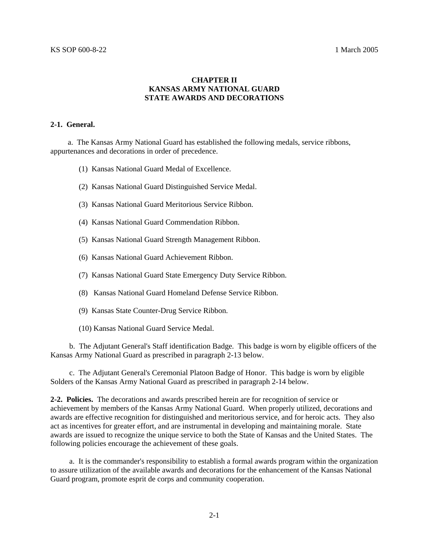# **CHAPTER II KANSAS ARMY NATIONAL GUARD STATE AWARDS AND DECORATIONS**

# **2-1. General.**

 a. The Kansas Army National Guard has established the following medals, service ribbons, appurtenances and decorations in order of precedence.

- (1) Kansas National Guard Medal of Excellence.
- (2) Kansas National Guard Distinguished Service Medal.
- (3) Kansas National Guard Meritorious Service Ribbon.
- (4) Kansas National Guard Commendation Ribbon.
- (5) Kansas National Guard Strength Management Ribbon.
- (6) Kansas National Guard Achievement Ribbon.
- (7) Kansas National Guard State Emergency Duty Service Ribbon.
- (8) Kansas National Guard Homeland Defense Service Ribbon.
- (9) Kansas State Counter-Drug Service Ribbon.
- (10) Kansas National Guard Service Medal.

 b. The Adjutant General's Staff identification Badge. This badge is worn by eligible officers of the Kansas Army National Guard as prescribed in paragraph 2-13 below.

 c. The Adjutant General's Ceremonial Platoon Badge of Honor. This badge is worn by eligible Solders of the Kansas Army National Guard as prescribed in paragraph 2-14 below.

**2-2. Policies.** The decorations and awards prescribed herein are for recognition of service or achievement by members of the Kansas Army National Guard. When properly utilized, decorations and awards are effective recognition for distinguished and meritorious service, and for heroic acts. They also act as incentives for greater effort, and are instrumental in developing and maintaining morale. State awards are issued to recognize the unique service to both the State of Kansas and the United States. The following policies encourage the achievement of these goals.

 a. It is the commander's responsibility to establish a formal awards program within the organization to assure utilization of the available awards and decorations for the enhancement of the Kansas National Guard program, promote esprit de corps and community cooperation.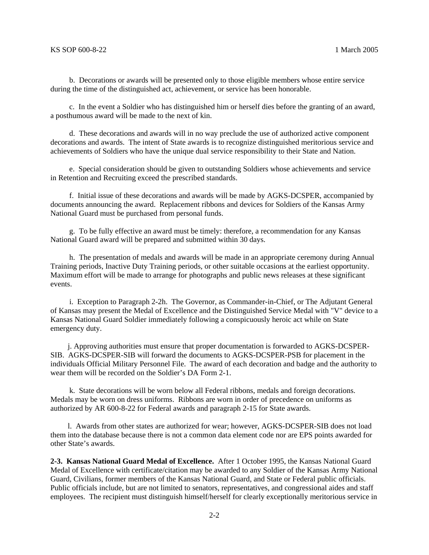b. Decorations or awards will be presented only to those eligible members whose entire service during the time of the distinguished act, achievement, or service has been honorable.

 c. In the event a Soldier who has distinguished him or herself dies before the granting of an award, a posthumous award will be made to the next of kin.

 d. These decorations and awards will in no way preclude the use of authorized active component decorations and awards. The intent of State awards is to recognize distinguished meritorious service and achievements of Soldiers who have the unique dual service responsibility to their State and Nation.

 e. Special consideration should be given to outstanding Soldiers whose achievements and service in Retention and Recruiting exceed the prescribed standards.

 f. Initial issue of these decorations and awards will be made by AGKS-DCSPER, accompanied by documents announcing the award. Replacement ribbons and devices for Soldiers of the Kansas Army National Guard must be purchased from personal funds.

 g. To be fully effective an award must be timely: therefore, a recommendation for any Kansas National Guard award will be prepared and submitted within 30 days.

 h. The presentation of medals and awards will be made in an appropriate ceremony during Annual Training periods, Inactive Duty Training periods, or other suitable occasions at the earliest opportunity. Maximum effort will be made to arrange for photographs and public news releases at these significant events.

 i. Exception to Paragraph 2-2h. The Governor, as Commander-in-Chief, or The Adjutant General of Kansas may present the Medal of Excellence and the Distinguished Service Medal with "V" device to a Kansas National Guard Soldier immediately following a conspicuously heroic act while on State emergency duty.

 j. Approving authorities must ensure that proper documentation is forwarded to AGKS-DCSPER-SIB. AGKS-DCSPER-SIB will forward the documents to AGKS-DCSPER-PSB for placement in the individuals Official Military Personnel File. The award of each decoration and badge and the authority to wear them will be recorded on the Soldier's DA Form 2-1.

 k. State decorations will be worn below all Federal ribbons, medals and foreign decorations. Medals may be worn on dress uniforms. Ribbons are worn in order of precedence on uniforms as authorized by AR 600-8-22 for Federal awards and paragraph 2-15 for State awards.

 l. Awards from other states are authorized for wear; however, AGKS-DCSPER-SIB does not load them into the database because there is not a common data element code nor are EPS points awarded for other State's awards.

**2-3. Kansas National Guard Medal of Excellence.** After 1 October 1995, the Kansas National Guard Medal of Excellence with certificate/citation may be awarded to any Soldier of the Kansas Army National Guard, Civilians, former members of the Kansas National Guard, and State or Federal public officials. Public officials include, but are not limited to senators, representatives, and congressional aides and staff employees. The recipient must distinguish himself/herself for clearly exceptionally meritorious service in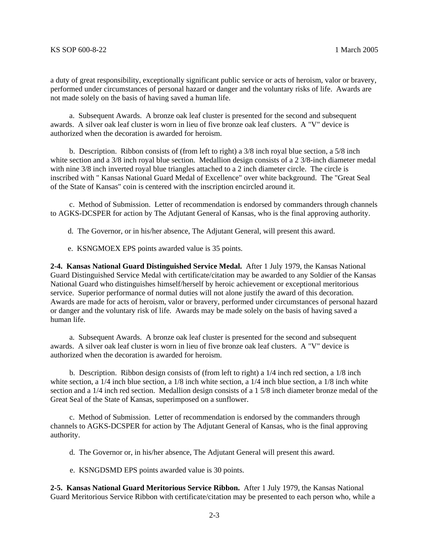a duty of great responsibility, exceptionally significant public service or acts of heroism, valor or bravery, performed under circumstances of personal hazard or danger and the voluntary risks of life. Awards are not made solely on the basis of having saved a human life.

 a. Subsequent Awards. A bronze oak leaf cluster is presented for the second and subsequent awards. A silver oak leaf cluster is worn in lieu of five bronze oak leaf clusters. A "V" device is authorized when the decoration is awarded for heroism.

 b. Description. Ribbon consists of (from left to right) a 3/8 inch royal blue section, a 5/8 inch white section and a 3/8 inch royal blue section. Medallion design consists of a 2 3/8-inch diameter medal with nine  $3/8$  inch inverted royal blue triangles attached to a 2 inch diameter circle. The circle is inscribed with " Kansas National Guard Medal of Excellence" over white background. The "Great Seal of the State of Kansas" coin is centered with the inscription encircled around it.

 c. Method of Submission. Letter of recommendation is endorsed by commanders through channels to AGKS-DCSPER for action by The Adjutant General of Kansas, who is the final approving authority.

d. The Governor, or in his/her absence, The Adjutant General, will present this award.

e. KSNGMOEX EPS points awarded value is 35 points.

**2-4. Kansas National Guard Distinguished Service Medal.** After 1 July 1979, the Kansas National Guard Distinguished Service Medal with certificate/citation may be awarded to any Soldier of the Kansas National Guard who distinguishes himself/herself by heroic achievement or exceptional meritorious service. Superior performance of normal duties will not alone justify the award of this decoration. Awards are made for acts of heroism, valor or bravery, performed under circumstances of personal hazard or danger and the voluntary risk of life. Awards may be made solely on the basis of having saved a human life.

 a. Subsequent Awards. A bronze oak leaf cluster is presented for the second and subsequent awards. A silver oak leaf cluster is worn in lieu of five bronze oak leaf clusters. A "V" device is authorized when the decoration is awarded for heroism.

 b. Description. Ribbon design consists of (from left to right) a 1/4 inch red section, a 1/8 inch white section, a  $1/4$  inch blue section, a  $1/8$  inch white section, a  $1/4$  inch blue section, a  $1/8$  inch white section and a 1/4 inch red section. Medallion design consists of a 1 5/8 inch diameter bronze medal of the Great Seal of the State of Kansas, superimposed on a sunflower.

 c. Method of Submission. Letter of recommendation is endorsed by the commanders through channels to AGKS-DCSPER for action by The Adjutant General of Kansas, who is the final approving authority.

d. The Governor or, in his/her absence, The Adjutant General will present this award.

e. KSNGDSMD EPS points awarded value is 30 points.

**2-5. Kansas National Guard Meritorious Service Ribbon.** After 1 July 1979, the Kansas National Guard Meritorious Service Ribbon with certificate/citation may be presented to each person who, while a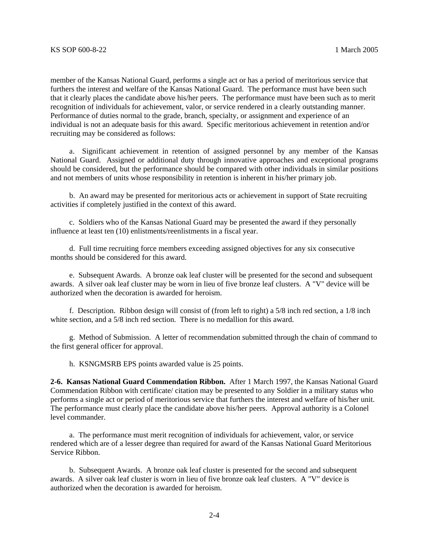member of the Kansas National Guard, performs a single act or has a period of meritorious service that furthers the interest and welfare of the Kansas National Guard. The performance must have been such that it clearly places the candidate above his/her peers. The performance must have been such as to merit recognition of individuals for achievement, valor, or service rendered in a clearly outstanding manner. Performance of duties normal to the grade, branch, specialty, or assignment and experience of an individual is not an adequate basis for this award. Specific meritorious achievement in retention and/or recruiting may be considered as follows:

 a. Significant achievement in retention of assigned personnel by any member of the Kansas National Guard. Assigned or additional duty through innovative approaches and exceptional programs should be considered, but the performance should be compared with other individuals in similar positions and not members of units whose responsibility in retention is inherent in his/her primary job.

 b. An award may be presented for meritorious acts or achievement in support of State recruiting activities if completely justified in the context of this award.

 c. Soldiers who of the Kansas National Guard may be presented the award if they personally influence at least ten (10) enlistments/reenlistments in a fiscal year.

 d. Full time recruiting force members exceeding assigned objectives for any six consecutive months should be considered for this award.

 e. Subsequent Awards. A bronze oak leaf cluster will be presented for the second and subsequent awards. A silver oak leaf cluster may be worn in lieu of five bronze leaf clusters. A "V" device will be authorized when the decoration is awarded for heroism.

 f. Description. Ribbon design will consist of (from left to right) a 5/8 inch red section, a 1/8 inch white section, and a 5/8 inch red section. There is no medallion for this award.

 g. Method of Submission. A letter of recommendation submitted through the chain of command to the first general officer for approval.

h. KSNGMSRB EPS points awarded value is 25 points.

**2-6. Kansas National Guard Commendation Ribbon.** After 1 March 1997, the Kansas National Guard Commendation Ribbon with certificate/ citation may be presented to any Soldier in a military status who performs a single act or period of meritorious service that furthers the interest and welfare of his/her unit. The performance must clearly place the candidate above his/her peers. Approval authority is a Colonel level commander.

 a. The performance must merit recognition of individuals for achievement, valor, or service rendered which are of a lesser degree than required for award of the Kansas National Guard Meritorious Service Ribbon.

 b. Subsequent Awards. A bronze oak leaf cluster is presented for the second and subsequent awards. A silver oak leaf cluster is worn in lieu of five bronze oak leaf clusters. A "V" device is authorized when the decoration is awarded for heroism.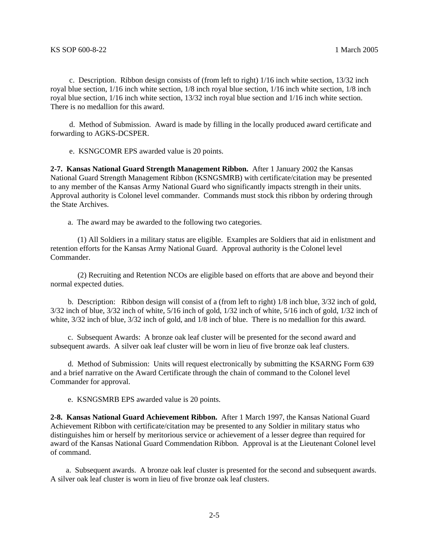c. Description. Ribbon design consists of (from left to right) 1/16 inch white section, 13/32 inch royal blue section, 1/16 inch white section, 1/8 inch royal blue section, 1/16 inch white section, 1/8 inch royal blue section, 1/16 inch white section, 13/32 inch royal blue section and 1/16 inch white section. There is no medallion for this award.

 d. Method of Submission. Award is made by filling in the locally produced award certificate and forwarding to AGKS-DCSPER.

e. KSNGCOMR EPS awarded value is 20 points.

**2-7. Kansas National Guard Strength Management Ribbon.** After 1 January 2002 the Kansas National Guard Strength Management Ribbon (KSNGSMRB) with certificate/citation may be presented to any member of the Kansas Army National Guard who significantly impacts strength in their units. Approval authority is Colonel level commander. Commands must stock this ribbon by ordering through the State Archives.

a. The award may be awarded to the following two categories.

 (1) All Soldiers in a military status are eligible. Examples are Soldiers that aid in enlistment and retention efforts for the Kansas Army National Guard. Approval authority is the Colonel level Commander.

 (2) Recruiting and Retention NCOs are eligible based on efforts that are above and beyond their normal expected duties.

 b. Description: Ribbon design will consist of a (from left to right) 1/8 inch blue, 3/32 inch of gold, 3/32 inch of blue, 3/32 inch of white, 5/16 inch of gold, 1/32 inch of white, 5/16 inch of gold, 1/32 inch of white,  $3/32$  inch of blue,  $3/32$  inch of gold, and  $1/8$  inch of blue. There is no medallion for this award.

 c. Subsequent Awards: A bronze oak leaf cluster will be presented for the second award and subsequent awards. A silver oak leaf cluster will be worn in lieu of five bronze oak leaf clusters.

 d. Method of Submission: Units will request electronically by submitting the KSARNG Form 639 and a brief narrative on the Award Certificate through the chain of command to the Colonel level Commander for approval.

e. KSNGSMRB EPS awarded value is 20 points.

**2-8. Kansas National Guard Achievement Ribbon.** After 1 March 1997, the Kansas National Guard Achievement Ribbon with certificate/citation may be presented to any Soldier in military status who distinguishes him or herself by meritorious service or achievement of a lesser degree than required for award of the Kansas National Guard Commendation Ribbon. Approval is at the Lieutenant Colonel level of command.

 a. Subsequent awards. A bronze oak leaf cluster is presented for the second and subsequent awards. A silver oak leaf cluster is worn in lieu of five bronze oak leaf clusters.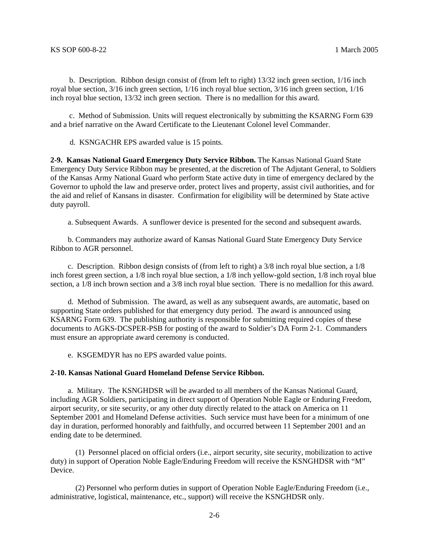b. Description. Ribbon design consist of (from left to right) 13/32 inch green section, 1/16 inch royal blue section, 3/16 inch green section, 1/16 inch royal blue section, 3/16 inch green section, 1/16 inch royal blue section, 13/32 inch green section. There is no medallion for this award.

 c. Method of Submission. Units will request electronically by submitting the KSARNG Form 639 and a brief narrative on the Award Certificate to the Lieutenant Colonel level Commander.

d. KSNGACHR EPS awarded value is 15 points.

**2-9. Kansas National Guard Emergency Duty Service Ribbon.** The Kansas National Guard State Emergency Duty Service Ribbon may be presented, at the discretion of The Adjutant General, to Soldiers of the Kansas Army National Guard who perform State active duty in time of emergency declared by the Governor to uphold the law and preserve order, protect lives and property, assist civil authorities, and for the aid and relief of Kansans in disaster. Confirmation for eligibility will be determined by State active duty payroll.

a. Subsequent Awards. A sunflower device is presented for the second and subsequent awards.

 b. Commanders may authorize award of Kansas National Guard State Emergency Duty Service Ribbon to AGR personnel.

 c. Description. Ribbon design consists of (from left to right) a 3/8 inch royal blue section, a 1/8 inch forest green section, a 1/8 inch royal blue section, a 1/8 inch yellow-gold section, 1/8 inch royal blue section, a 1/8 inch brown section and a 3/8 inch royal blue section. There is no medallion for this award.

 d. Method of Submission. The award, as well as any subsequent awards, are automatic, based on supporting State orders published for that emergency duty period. The award is announced using KSARNG Form 639. The publishing authority is responsible for submitting required copies of these documents to AGKS-DCSPER-PSB for posting of the award to Soldier's DA Form 2-1. Commanders must ensure an appropriate award ceremony is conducted.

e. KSGEMDYR has no EPS awarded value points.

#### **2-10. Kansas National Guard Homeland Defense Service Ribbon.**

 a. Military. The KSNGHDSR will be awarded to all members of the Kansas National Guard, including AGR Soldiers, participating in direct support of Operation Noble Eagle or Enduring Freedom, airport security, or site security, or any other duty directly related to the attack on America on 11 September 2001 and Homeland Defense activities. Such service must have been for a minimum of one day in duration, performed honorably and faithfully, and occurred between 11 September 2001 and an ending date to be determined.

 (1) Personnel placed on official orders (i.e., airport security, site security, mobilization to active duty) in support of Operation Noble Eagle/Enduring Freedom will receive the KSNGHDSR with "M" Device.

 (2) Personnel who perform duties in support of Operation Noble Eagle/Enduring Freedom (i.e., administrative, logistical, maintenance, etc., support) will receive the KSNGHDSR only.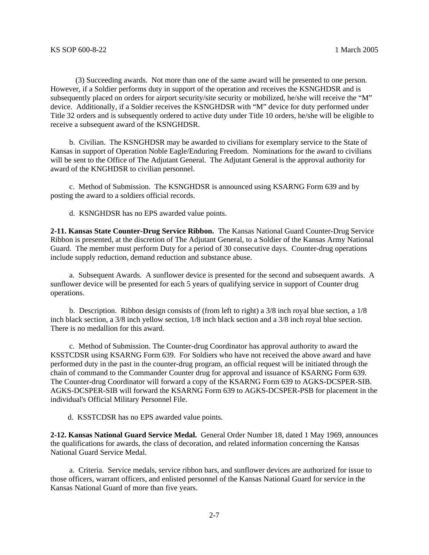(3) Succeeding awards. Not more than one of the same award will be presented to one person. However, if a Soldier performs duty in support of the operation and receives the KSNGHDSR and is subsequently placed on orders for airport security/site security or mobilized, he/she will receive the "M" device. Additionally, if a Soldier receives the KSNGHDSR with "M" device for duty performed under Title 32 orders and is subsequently ordered to active duty under Title 10 orders, he/she will be eligible to receive a subsequent award of the KSNGHDSR.

 b. Civilian. The KSNGHDSR may be awarded to civilians for exemplary service to the State of Kansas in support of Operation Noble Eagle/Enduring Freedom. Nominations for the award to civilians will be sent to the Office of The Adjutant General. The Adjutant General is the approval authority for award of the KNGHDSR to civilian personnel.

 c. Method of Submission. The KSNGHDSR is announced using KSARNG Form 639 and by posting the award to a soldiers official records.

d. KSNGHDSR has no EPS awarded value points.

**2-11. Kansas State Counter-Drug Service Ribbon.** The Kansas National Guard Counter-Drug Service Ribbon is presented, at the discretion of The Adjutant General, to a Soldier of the Kansas Army National Guard. The member must perform Duty for a period of 30 consecutive days. Counter-drug operations include supply reduction, demand reduction and substance abuse.

 a. Subsequent Awards. A sunflower device is presented for the second and subsequent awards. A sunflower device will be presented for each 5 years of qualifying service in support of Counter drug operations.

 b. Description. Ribbon design consists of (from left to right) a 3/8 inch royal blue section, a 1/8 inch black section, a 3/8 inch yellow section, 1/8 inch black section and a 3/8 inch royal blue section. There is no medallion for this award.

 c. Method of Submission. The Counter-drug Coordinator has approval authority to award the KSSTCDSR using KSARNG Form 639. For Soldiers who have not received the above award and have performed duty in the past in the counter-drug program, an official request will be initiated through the chain of command to the Commander Counter drug for approval and issuance of KSARNG Form 639. The Counter-drug Coordinator will forward a copy of the KSARNG Form 639 to AGKS-DCSPER-SIB. AGKS-DCSPER-SIB will forward the KSARNG Form 639 to AGKS-DCSPER-PSB for placement in the individual's Official Military Personnel File.

d. KSSTCDSR has no EPS awarded value points.

**2-12. Kansas National Guard Service Medal.** General Order Number 18, dated 1 May 1969, announces the qualifications for awards, the class of decoration, and related information concerning the Kansas National Guard Service Medal.

 a. Criteria. Service medals, service ribbon bars, and sunflower devices are authorized for issue to those officers, warrant officers, and enlisted personnel of the Kansas National Guard for service in the Kansas National Guard of more than five years.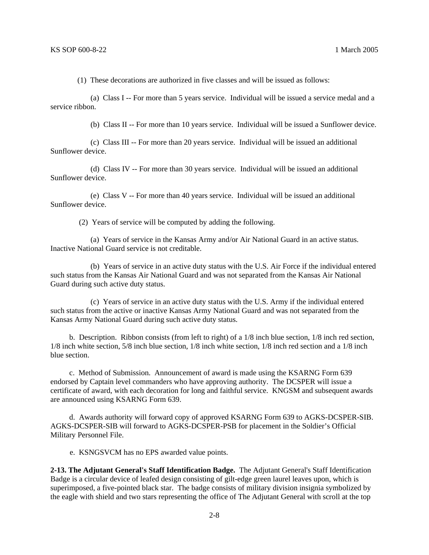(1) These decorations are authorized in five classes and will be issued as follows:

 (a) Class I -- For more than 5 years service. Individual will be issued a service medal and a service ribbon.

(b) Class II -- For more than 10 years service. Individual will be issued a Sunflower device.

 (c) Class III -- For more than 20 years service. Individual will be issued an additional Sunflower device.

 (d) Class IV -- For more than 30 years service. Individual will be issued an additional Sunflower device.

 (e) Class V -- For more than 40 years service. Individual will be issued an additional Sunflower device.

(2) Years of service will be computed by adding the following.

 (a) Years of service in the Kansas Army and/or Air National Guard in an active status. Inactive National Guard service is not creditable.

 (b) Years of service in an active duty status with the U.S. Air Force if the individual entered such status from the Kansas Air National Guard and was not separated from the Kansas Air National Guard during such active duty status.

 (c) Years of service in an active duty status with the U.S. Army if the individual entered such status from the active or inactive Kansas Army National Guard and was not separated from the Kansas Army National Guard during such active duty status.

 b. Description. Ribbon consists (from left to right) of a 1/8 inch blue section, 1/8 inch red section, 1/8 inch white section, 5/8 inch blue section, 1/8 inch white section, 1/8 inch red section and a 1/8 inch blue section.

 c. Method of Submission. Announcement of award is made using the KSARNG Form 639 endorsed by Captain level commanders who have approving authority. The DCSPER will issue a certificate of award, with each decoration for long and faithful service. KNGSM and subsequent awards are announced using KSARNG Form 639.

 d. Awards authority will forward copy of approved KSARNG Form 639 to AGKS-DCSPER-SIB. AGKS-DCSPER-SIB will forward to AGKS-DCSPER-PSB for placement in the Soldier's Official Military Personnel File.

e. KSNGSVCM has no EPS awarded value points.

**2-13. The Adjutant General's Staff Identification Badge.** The Adjutant General's Staff Identification Badge is a circular device of leafed design consisting of gilt-edge green laurel leaves upon, which is superimposed, a five-pointed black star. The badge consists of military division insignia symbolized by the eagle with shield and two stars representing the office of The Adjutant General with scroll at the top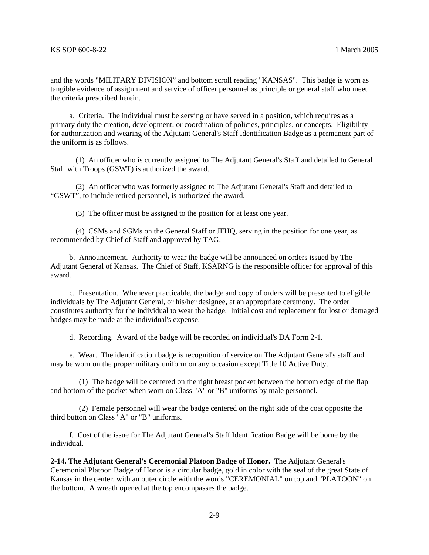and the words "MILITARY DIVISION" and bottom scroll reading "KANSAS". This badge is worn as tangible evidence of assignment and service of officer personnel as principle or general staff who meet the criteria prescribed herein.

 a. Criteria. The individual must be serving or have served in a position, which requires as a primary duty the creation, development, or coordination of policies, principles, or concepts. Eligibility for authorization and wearing of the Adjutant General's Staff Identification Badge as a permanent part of the uniform is as follows.

 (1) An officer who is currently assigned to The Adjutant General's Staff and detailed to General Staff with Troops (GSWT) is authorized the award.

 (2) An officer who was formerly assigned to The Adjutant General's Staff and detailed to "GSWT", to include retired personnel, is authorized the award.

(3) The officer must be assigned to the position for at least one year.

 (4) CSMs and SGMs on the General Staff or JFHQ, serving in the position for one year, as recommended by Chief of Staff and approved by TAG.

 b. Announcement. Authority to wear the badge will be announced on orders issued by The Adjutant General of Kansas. The Chief of Staff, KSARNG is the responsible officer for approval of this award.

 c. Presentation. Whenever practicable, the badge and copy of orders will be presented to eligible individuals by The Adjutant General, or his/her designee, at an appropriate ceremony. The order constitutes authority for the individual to wear the badge. Initial cost and replacement for lost or damaged badges may be made at the individual's expense.

d. Recording. Award of the badge will be recorded on individual's DA Form 2-1.

 e. Wear. The identification badge is recognition of service on The Adjutant General's staff and may be worn on the proper military uniform on any occasion except Title 10 Active Duty.

 (1) The badge will be centered on the right breast pocket between the bottom edge of the flap and bottom of the pocket when worn on Class "A" or "B" uniforms by male personnel.

 (2) Female personnel will wear the badge centered on the right side of the coat opposite the third button on Class "A" or "B" uniforms.

 f. Cost of the issue for The Adjutant General's Staff Identification Badge will be borne by the individual.

**2-14. The Adjutant General's Ceremonial Platoon Badge of Honor.** The Adjutant General's Ceremonial Platoon Badge of Honor is a circular badge, gold in color with the seal of the great State of Kansas in the center, with an outer circle with the words "CEREMONIAL" on top and "PLATOON" on the bottom. A wreath opened at the top encompasses the badge.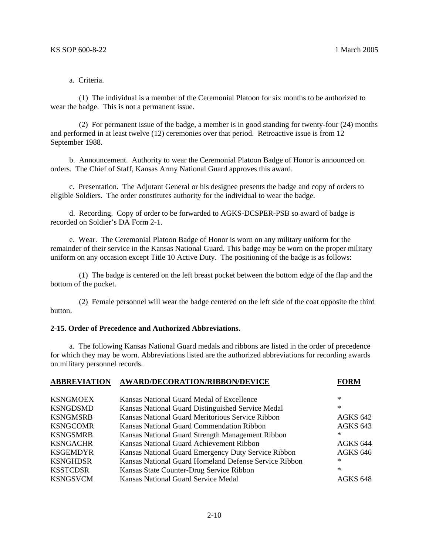# a. Criteria.

 (1) The individual is a member of the Ceremonial Platoon for six months to be authorized to wear the badge. This is not a permanent issue.

 (2) For permanent issue of the badge, a member is in good standing for twenty-four (24) months and performed in at least twelve (12) ceremonies over that period. Retroactive issue is from 12 September 1988.

 b. Announcement. Authority to wear the Ceremonial Platoon Badge of Honor is announced on orders. The Chief of Staff, Kansas Army National Guard approves this award.

 c. Presentation. The Adjutant General or his designee presents the badge and copy of orders to eligible Soldiers. The order constitutes authority for the individual to wear the badge.

 d. Recording. Copy of order to be forwarded to AGKS-DCSPER-PSB so award of badge is recorded on Soldier's DA Form 2-1.

 e. Wear. The Ceremonial Platoon Badge of Honor is worn on any military uniform for the remainder of their service in the Kansas National Guard. This badge may be worn on the proper military uniform on any occasion except Title 10 Active Duty. The positioning of the badge is as follows:

 (1) The badge is centered on the left breast pocket between the bottom edge of the flap and the bottom of the pocket.

 (2) Female personnel will wear the badge centered on the left side of the coat opposite the third button.

# **2-15. Order of Precedence and Authorized Abbreviations.**

 a. The following Kansas National Guard medals and ribbons are listed in the order of precedence for which they may be worn. Abbreviations listed are the authorized abbreviations for recording awards on military personnel records.

| <b>ABBREVIATION</b> | <b>AWARD/DECORATION/RIBBON/DEVICE</b>                 | <b>FORM</b>     |
|---------------------|-------------------------------------------------------|-----------------|
| <b>KSNGMOEX</b>     | Kansas National Guard Medal of Excellence             | $\ast$          |
| <b>KSNGDSMD</b>     | Kansas National Guard Distinguished Service Medal     | $*$             |
| <b>KSNGMSRB</b>     | Kansas National Guard Meritorious Service Ribbon      | <b>AGKS 642</b> |
| <b>KSNGCOMR</b>     | Kansas National Guard Commendation Ribbon             | <b>AGKS 643</b> |
| <b>KSNGSMRB</b>     | Kansas National Guard Strength Management Ribbon      | ∗               |
| <b>KSNGACHR</b>     | Kansas National Guard Achievement Ribbon              | AGKS 644        |
| <b>KSGEMDYR</b>     | Kansas National Guard Emergency Duty Service Ribbon   | <b>AGKS 646</b> |
| <b>KSNGHDSR</b>     | Kansas National Guard Homeland Defense Service Ribbon | $\ast$          |
| <b>KSSTCDSR</b>     | Kansas State Counter-Drug Service Ribbon              | $\ast$          |
| <b>KSNGSVCM</b>     | Kansas National Guard Service Medal                   | AGKS 648        |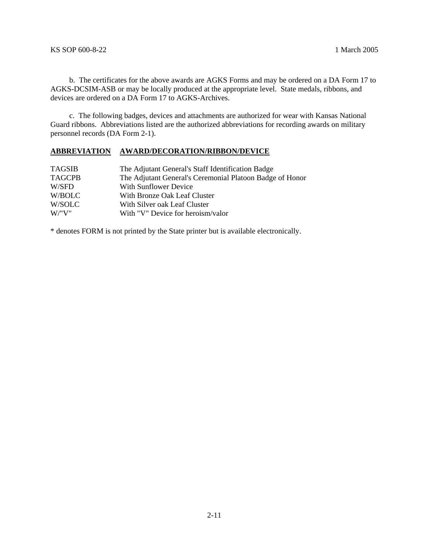b. The certificates for the above awards are AGKS Forms and may be ordered on a DA Form 17 to AGKS-DCSIM-ASB or may be locally produced at the appropriate level. State medals, ribbons, and devices are ordered on a DA Form 17 to AGKS-Archives.

 c. The following badges, devices and attachments are authorized for wear with Kansas National Guard ribbons. Abbreviations listed are the authorized abbreviations for recording awards on military personnel records (DA Form 2-1).

# **ABBREVIATION AWARD/DECORATION/RIBBON/DEVICE**

| <b>TAGSIB</b> | The Adjutant General's Staff Identification Badge        |
|---------------|----------------------------------------------------------|
| <b>TAGCPB</b> | The Adjutant General's Ceremonial Platoon Badge of Honor |
| W/SFD         | With Sunflower Device                                    |
| W/BOLC        | With Bronze Oak Leaf Cluster                             |
| W/SOLC        | With Silver oak Leaf Cluster                             |
| W''V''        | With "V" Device for heroism/valor                        |

\* denotes FORM is not printed by the State printer but is available electronically.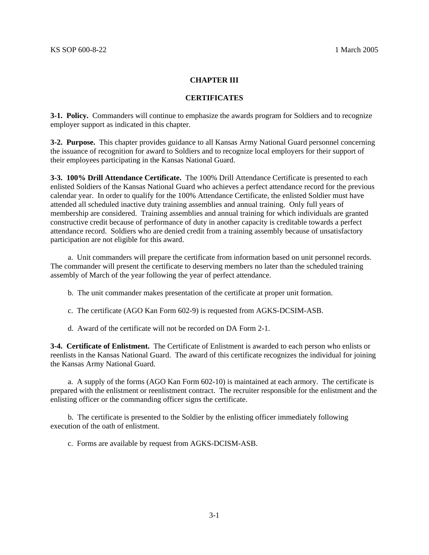## **CHAPTER III**

# **CERTIFICATES**

**3-1. Policy.** Commanders will continue to emphasize the awards program for Soldiers and to recognize employer support as indicated in this chapter.

**3-2. Purpose.** This chapter provides guidance to all Kansas Army National Guard personnel concerning the issuance of recognition for award to Soldiers and to recognize local employers for their support of their employees participating in the Kansas National Guard.

**3-3. 100% Drill Attendance Certificate.** The 100% Drill Attendance Certificate is presented to each enlisted Soldiers of the Kansas National Guard who achieves a perfect attendance record for the previous calendar year. In order to qualify for the 100% Attendance Certificate, the enlisted Soldier must have attended all scheduled inactive duty training assemblies and annual training. Only full years of membership are considered. Training assemblies and annual training for which individuals are granted constructive credit because of performance of duty in another capacity is creditable towards a perfect attendance record. Soldiers who are denied credit from a training assembly because of unsatisfactory participation are not eligible for this award.

 a. Unit commanders will prepare the certificate from information based on unit personnel records. The commander will present the certificate to deserving members no later than the scheduled training assembly of March of the year following the year of perfect attendance.

- b. The unit commander makes presentation of the certificate at proper unit formation.
- c. The certificate (AGO Kan Form 602-9) is requested from AGKS-DCSIM-ASB.
- d. Award of the certificate will not be recorded on DA Form 2-1.

**3-4. Certificate of Enlistment.** The Certificate of Enlistment is awarded to each person who enlists or reenlists in the Kansas National Guard. The award of this certificate recognizes the individual for joining the Kansas Army National Guard.

 a. A supply of the forms (AGO Kan Form 602-10) is maintained at each armory. The certificate is prepared with the enlistment or reenlistment contract. The recruiter responsible for the enlistment and the enlisting officer or the commanding officer signs the certificate.

 b. The certificate is presented to the Soldier by the enlisting officer immediately following execution of the oath of enlistment.

c. Forms are available by request from AGKS-DCISM-ASB.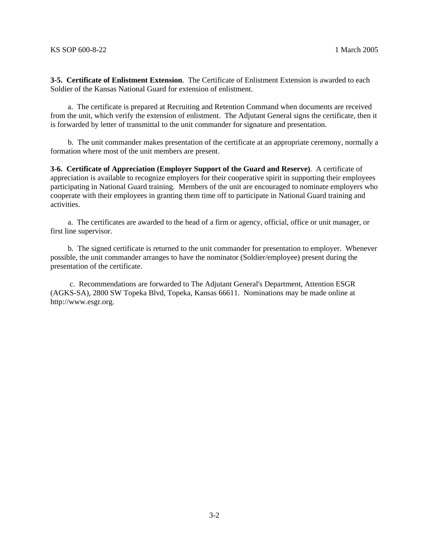**3-5. Certificate of Enlistment Extension**. The Certificate of Enlistment Extension is awarded to each Soldier of the Kansas National Guard for extension of enlistment.

 a. The certificate is prepared at Recruiting and Retention Command when documents are received from the unit, which verify the extension of enlistment. The Adjutant General signs the certificate, then it is forwarded by letter of transmittal to the unit commander for signature and presentation.

 b. The unit commander makes presentation of the certificate at an appropriate ceremony, normally a formation where most of the unit members are present.

**3-6. Certificate of Appreciation (Employer Support of the Guard and Reserve)**. A certificate of appreciation is available to recognize employers for their cooperative spirit in supporting their employees participating in National Guard training. Members of the unit are encouraged to nominate employers who cooperate with their employees in granting them time off to participate in National Guard training and activities.

 a. The certificates are awarded to the head of a firm or agency, official, office or unit manager, or first line supervisor.

 b. The signed certificate is returned to the unit commander for presentation to employer. Whenever possible, the unit commander arranges to have the nominator (Soldier/employee) present during the presentation of the certificate.

 c. Recommendations are forwarded to The Adjutant General's Department, Attention ESGR (AGKS-SA), 2800 SW Topeka Blvd, Topeka, Kansas 66611. Nominations may be made online at http://www.esgr.org.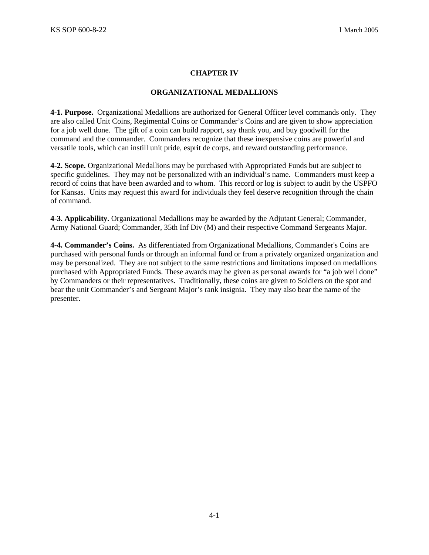# **CHAPTER IV**

# **ORGANIZATIONAL MEDALLIONS**

**4-1. Purpose.** Organizational Medallions are authorized for General Officer level commands only. They are also called Unit Coins, Regimental Coins or Commander's Coins and are given to show appreciation for a job well done. The gift of a coin can build rapport, say thank you, and buy goodwill for the command and the commander. Commanders recognize that these inexpensive coins are powerful and versatile tools, which can instill unit pride, esprit de corps, and reward outstanding performance.

**4-2. Scope.** Organizational Medallions may be purchased with Appropriated Funds but are subject to specific guidelines. They may not be personalized with an individual's name. Commanders must keep a record of coins that have been awarded and to whom. This record or log is subject to audit by the USPFO for Kansas. Units may request this award for individuals they feel deserve recognition through the chain of command.

**4-3. Applicability.** Organizational Medallions may be awarded by the Adjutant General; Commander, Army National Guard; Commander, 35th Inf Div (M) and their respective Command Sergeants Major.

**4-4. Commander's Coins.** As differentiated from Organizational Medallions, Commander's Coins are purchased with personal funds or through an informal fund or from a privately organized organization and may be personalized. They are not subject to the same restrictions and limitations imposed on medallions purchased with Appropriated Funds. These awards may be given as personal awards for "a job well done" by Commanders or their representatives. Traditionally, these coins are given to Soldiers on the spot and bear the unit Commander's and Sergeant Major's rank insignia. They may also bear the name of the presenter.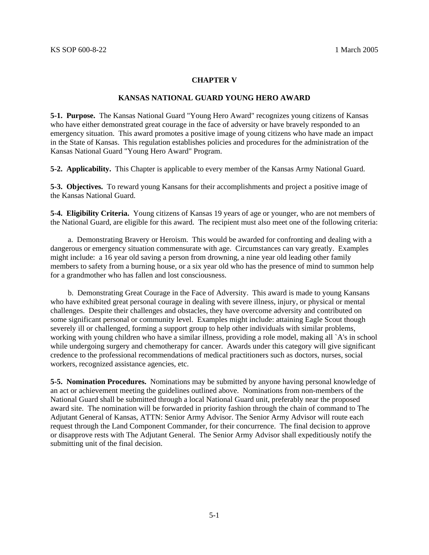## **CHAPTER V**

#### **KANSAS NATIONAL GUARD YOUNG HERO AWARD**

**5-1. Purpose.** The Kansas National Guard "Young Hero Award" recognizes young citizens of Kansas who have either demonstrated great courage in the face of adversity or have bravely responded to an emergency situation. This award promotes a positive image of young citizens who have made an impact in the State of Kansas. This regulation establishes policies and procedures for the administration of the Kansas National Guard "Young Hero Award" Program.

**5-2. Applicability.** This Chapter is applicable to every member of the Kansas Army National Guard.

**5-3. Objectives.** To reward young Kansans for their accomplishments and project a positive image of the Kansas National Guard.

**5-4. Eligibility Criteria.** Young citizens of Kansas 19 years of age or younger, who are not members of the National Guard, are eligible for this award. The recipient must also meet one of the following criteria:

 a. Demonstrating Bravery or Heroism. This would be awarded for confronting and dealing with a dangerous or emergency situation commensurate with age. Circumstances can vary greatly. Examples might include: a 16 year old saving a person from drowning, a nine year old leading other family members to safety from a burning house, or a six year old who has the presence of mind to summon help for a grandmother who has fallen and lost consciousness.

 b. Demonstrating Great Courage in the Face of Adversity. This award is made to young Kansans who have exhibited great personal courage in dealing with severe illness, injury, or physical or mental challenges. Despite their challenges and obstacles, they have overcome adversity and contributed on some significant personal or community level. Examples might include: attaining Eagle Scout though severely ill or challenged, forming a support group to help other individuals with similar problems, working with young children who have a similar illness, providing a role model, making all `A's in school while undergoing surgery and chemotherapy for cancer. Awards under this category will give significant credence to the professional recommendations of medical practitioners such as doctors, nurses, social workers, recognized assistance agencies, etc.

**5-5. Nomination Procedures.** Nominations may be submitted by anyone having personal knowledge of an act or achievement meeting the guidelines outlined above. Nominations from non-members of the National Guard shall be submitted through a local National Guard unit, preferably near the proposed award site. The nomination will be forwarded in priority fashion through the chain of command to The Adjutant General of Kansas, ATTN: Senior Army Advisor. The Senior Army Advisor will route each request through the Land Component Commander, for their concurrence. The final decision to approve or disapprove rests with The Adjutant General. The Senior Army Advisor shall expeditiously notify the submitting unit of the final decision.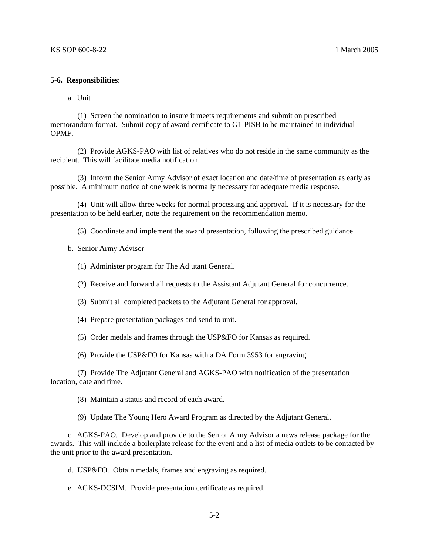# **5-6. Responsibilities**:

#### a. Unit

 (1) Screen the nomination to insure it meets requirements and submit on prescribed memorandum format. Submit copy of award certificate to G1-PISB to be maintained in individual OPMF.

 (2) Provide AGKS-PAO with list of relatives who do not reside in the same community as the recipient. This will facilitate media notification.

 (3) Inform the Senior Army Advisor of exact location and date/time of presentation as early as possible. A minimum notice of one week is normally necessary for adequate media response.

 (4) Unit will allow three weeks for normal processing and approval. If it is necessary for the presentation to be held earlier, note the requirement on the recommendation memo.

(5) Coordinate and implement the award presentation, following the prescribed guidance.

b. Senior Army Advisor

- (1) Administer program for The Adjutant General.
- (2) Receive and forward all requests to the Assistant Adjutant General for concurrence.
- (3) Submit all completed packets to the Adjutant General for approval.
- (4) Prepare presentation packages and send to unit.
- (5) Order medals and frames through the USP&FO for Kansas as required.
- (6) Provide the USP&FO for Kansas with a DA Form 3953 for engraving.

 (7) Provide The Adjutant General and AGKS-PAO with notification of the presentation location, date and time.

(8) Maintain a status and record of each award.

(9) Update The Young Hero Award Program as directed by the Adjutant General.

 c. AGKS-PAO. Develop and provide to the Senior Army Advisor a news release package for the awards. This will include a boilerplate release for the event and a list of media outlets to be contacted by the unit prior to the award presentation.

d. USP&FO. Obtain medals, frames and engraving as required.

e. AGKS-DCSIM. Provide presentation certificate as required.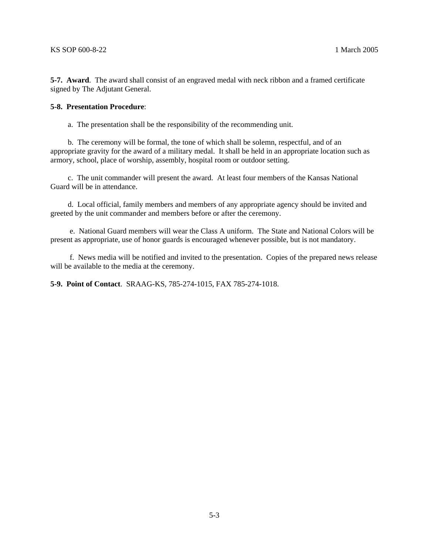**5-7. Award**. The award shall consist of an engraved medal with neck ribbon and a framed certificate signed by The Adjutant General.

#### **5-8. Presentation Procedure**:

a. The presentation shall be the responsibility of the recommending unit.

 b. The ceremony will be formal, the tone of which shall be solemn, respectful, and of an appropriate gravity for the award of a military medal. It shall be held in an appropriate location such as armory, school, place of worship, assembly, hospital room or outdoor setting.

 c. The unit commander will present the award. At least four members of the Kansas National Guard will be in attendance.

 d. Local official, family members and members of any appropriate agency should be invited and greeted by the unit commander and members before or after the ceremony.

 e. National Guard members will wear the Class A uniform. The State and National Colors will be present as appropriate, use of honor guards is encouraged whenever possible, but is not mandatory.

 f. News media will be notified and invited to the presentation. Copies of the prepared news release will be available to the media at the ceremony.

**5-9. Point of Contact**. SRAAG-KS, 785-274-1015, FAX 785-274-1018.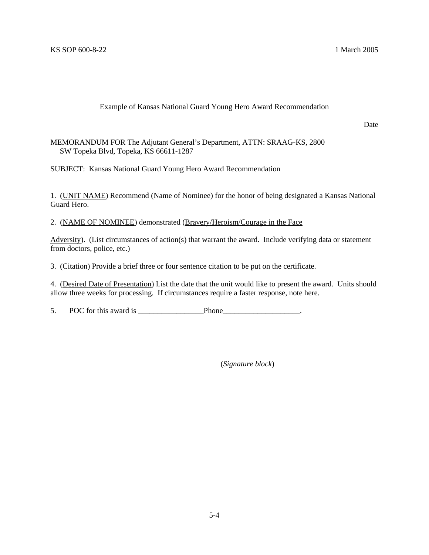Example of Kansas National Guard Young Hero Award Recommendation

Date

MEMORANDUM FOR The Adjutant General's Department, ATTN: SRAAG-KS, 2800 SW Topeka Blvd, Topeka, KS 66611-1287

SUBJECT: Kansas National Guard Young Hero Award Recommendation

1. (UNIT NAME) Recommend (Name of Nominee) for the honor of being designated a Kansas National Guard Hero.

2. (NAME OF NOMINEE) demonstrated (Bravery/Heroism/Courage in the Face

Adversity). (List circumstances of action(s) that warrant the award. Include verifying data or statement from doctors, police, etc.)

3. (Citation) Provide a brief three or four sentence citation to be put on the certificate.

4. (Desired Date of Presentation) List the date that the unit would like to present the award. Units should allow three weeks for processing. If circumstances require a faster response, note here.

5. POC for this award is \_\_\_\_\_\_\_\_\_\_\_\_\_\_\_\_\_Phone\_\_\_\_\_\_\_\_\_\_\_\_\_\_\_\_\_\_\_\_.

(*Signature block*)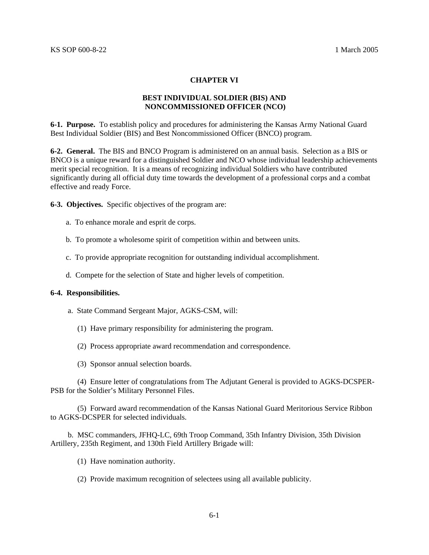# **CHAPTER VI**

# **BEST INDIVIDUAL SOLDIER (BIS) AND NONCOMMISSIONED OFFICER (NCO)**

**6-1. Purpose.** To establish policy and procedures for administering the Kansas Army National Guard Best Individual Soldier (BIS) and Best Noncommissioned Officer (BNCO) program.

**6-2. General.** The BIS and BNCO Program is administered on an annual basis. Selection as a BIS or BNCO is a unique reward for a distinguished Soldier and NCO whose individual leadership achievements merit special recognition. It is a means of recognizing individual Soldiers who have contributed significantly during all official duty time towards the development of a professional corps and a combat effective and ready Force.

**6-3. Objectives.** Specific objectives of the program are:

- a. To enhance morale and esprit de corps.
- b. To promote a wholesome spirit of competition within and between units.
- c. To provide appropriate recognition for outstanding individual accomplishment.
- d. Compete for the selection of State and higher levels of competition.

#### **6-4. Responsibilities.**

- a. State Command Sergeant Major, AGKS-CSM, will:
	- (1) Have primary responsibility for administering the program.
	- (2) Process appropriate award recommendation and correspondence.
	- (3) Sponsor annual selection boards.

 (4) Ensure letter of congratulations from The Adjutant General is provided to AGKS-DCSPER-PSB for the Soldier's Military Personnel Files.

 (5) Forward award recommendation of the Kansas National Guard Meritorious Service Ribbon to AGKS-DCSPER for selected individuals.

 b. MSC commanders, JFHQ-LC, 69th Troop Command, 35th Infantry Division, 35th Division Artillery, 235th Regiment, and 130th Field Artillery Brigade will:

- (1) Have nomination authority.
- (2) Provide maximum recognition of selectees using all available publicity.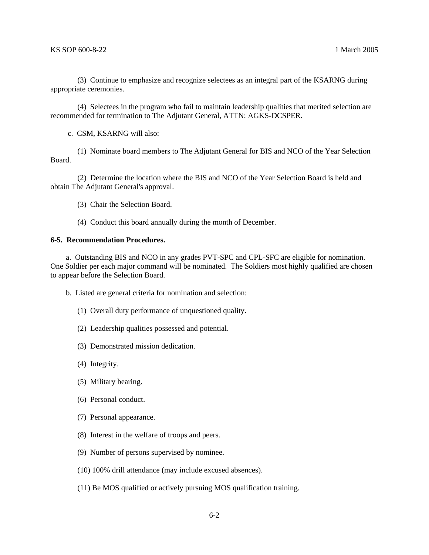(3) Continue to emphasize and recognize selectees as an integral part of the KSARNG during appropriate ceremonies.

 (4) Selectees in the program who fail to maintain leadership qualities that merited selection are recommended for termination to The Adjutant General, ATTN: AGKS-DCSPER.

c. CSM, KSARNG will also:

 (1) Nominate board members to The Adjutant General for BIS and NCO of the Year Selection Board.

 (2) Determine the location where the BIS and NCO of the Year Selection Board is held and obtain The Adjutant General's approval.

(3) Chair the Selection Board.

(4) Conduct this board annually during the month of December.

## **6-5. Recommendation Procedures.**

 a. Outstanding BIS and NCO in any grades PVT-SPC and CPL-SFC are eligible for nomination. One Soldier per each major command will be nominated. The Soldiers most highly qualified are chosen to appear before the Selection Board.

b. Listed are general criteria for nomination and selection:

- (1) Overall duty performance of unquestioned quality.
- (2) Leadership qualities possessed and potential.
- (3) Demonstrated mission dedication.
- (4) Integrity.
- (5) Military bearing.
- (6) Personal conduct.
- (7) Personal appearance.
- (8) Interest in the welfare of troops and peers.
- (9) Number of persons supervised by nominee.
- (10) 100% drill attendance (may include excused absences).
- (11) Be MOS qualified or actively pursuing MOS qualification training.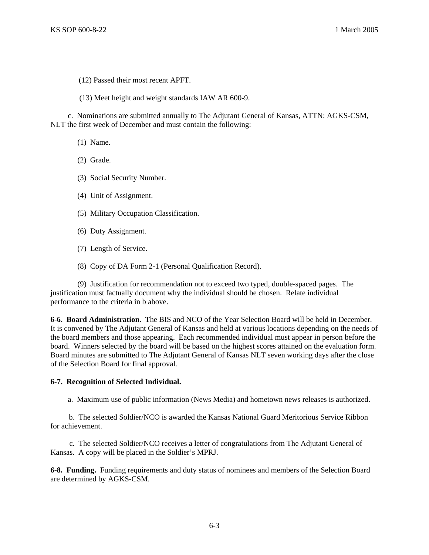- (12) Passed their most recent APFT.
- (13) Meet height and weight standards IAW AR 600-9.

 c. Nominations are submitted annually to The Adjutant General of Kansas, ATTN: AGKS-CSM, NLT the first week of December and must contain the following:

- (1) Name.
- (2) Grade.
- (3) Social Security Number.
- (4) Unit of Assignment.
- (5) Military Occupation Classification.
- (6) Duty Assignment.
- (7) Length of Service.
- (8) Copy of DA Form 2-1 (Personal Qualification Record).

 (9) Justification for recommendation not to exceed two typed, double-spaced pages. The justification must factually document why the individual should be chosen. Relate individual performance to the criteria in b above.

**6-6. Board Administration.** The BIS and NCO of the Year Selection Board will be held in December. It is convened by The Adjutant General of Kansas and held at various locations depending on the needs of the board members and those appearing. Each recommended individual must appear in person before the board. Winners selected by the board will be based on the highest scores attained on the evaluation form. Board minutes are submitted to The Adjutant General of Kansas NLT seven working days after the close of the Selection Board for final approval.

## **6-7. Recognition of Selected Individual.**

a. Maximum use of public information (News Media) and hometown news releases is authorized.

 b. The selected Soldier/NCO is awarded the Kansas National Guard Meritorious Service Ribbon for achievement.

 c. The selected Soldier/NCO receives a letter of congratulations from The Adjutant General of Kansas. A copy will be placed in the Soldier's MPRJ.

**6-8. Funding.** Funding requirements and duty status of nominees and members of the Selection Board are determined by AGKS-CSM.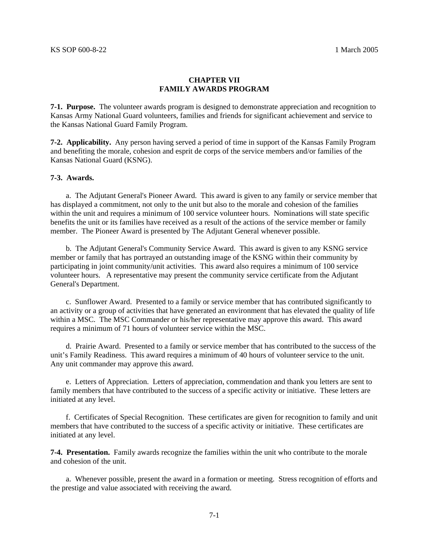# **CHAPTER VII FAMILY AWARDS PROGRAM**

**7-1. Purpose.** The volunteer awards program is designed to demonstrate appreciation and recognition to Kansas Army National Guard volunteers, families and friends for significant achievement and service to the Kansas National Guard Family Program.

**7-2. Applicability.** Any person having served a period of time in support of the Kansas Family Program and benefiting the morale, cohesion and esprit de corps of the service members and/or families of the Kansas National Guard (KSNG).

# **7-3. Awards.**

 a. The Adjutant General's Pioneer Award. This award is given to any family or service member that has displayed a commitment, not only to the unit but also to the morale and cohesion of the families within the unit and requires a minimum of 100 service volunteer hours. Nominations will state specific benefits the unit or its families have received as a result of the actions of the service member or family member. The Pioneer Award is presented by The Adjutant General whenever possible.

 b. The Adjutant General's Community Service Award. This award is given to any KSNG service member or family that has portrayed an outstanding image of the KSNG within their community by participating in joint community/unit activities. This award also requires a minimum of 100 service volunteer hours. A representative may present the community service certificate from the Adjutant General's Department.

 c. Sunflower Award. Presented to a family or service member that has contributed significantly to an activity or a group of activities that have generated an environment that has elevated the quality of life within a MSC. The MSC Commander or his/her representative may approve this award. This award requires a minimum of 71 hours of volunteer service within the MSC.

 d. Prairie Award. Presented to a family or service member that has contributed to the success of the unit's Family Readiness. This award requires a minimum of 40 hours of volunteer service to the unit. Any unit commander may approve this award.

 e. Letters of Appreciation. Letters of appreciation, commendation and thank you letters are sent to family members that have contributed to the success of a specific activity or initiative. These letters are initiated at any level.

 f. Certificates of Special Recognition. These certificates are given for recognition to family and unit members that have contributed to the success of a specific activity or initiative. These certificates are initiated at any level.

**7-4. Presentation.** Family awards recognize the families within the unit who contribute to the morale and cohesion of the unit.

 a. Whenever possible, present the award in a formation or meeting. Stress recognition of efforts and the prestige and value associated with receiving the award.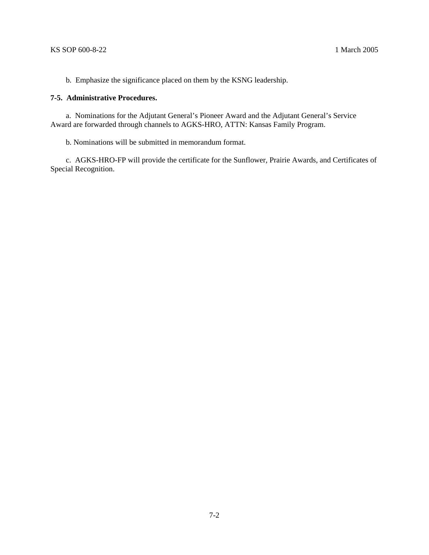b. Emphasize the significance placed on them by the KSNG leadership.

# **7-5. Administrative Procedures.**

 a. Nominations for the Adjutant General's Pioneer Award and the Adjutant General's Service Award are forwarded through channels to AGKS-HRO, ATTN: Kansas Family Program.

b. Nominations will be submitted in memorandum format.

 c. AGKS-HRO-FP will provide the certificate for the Sunflower, Prairie Awards, and Certificates of Special Recognition.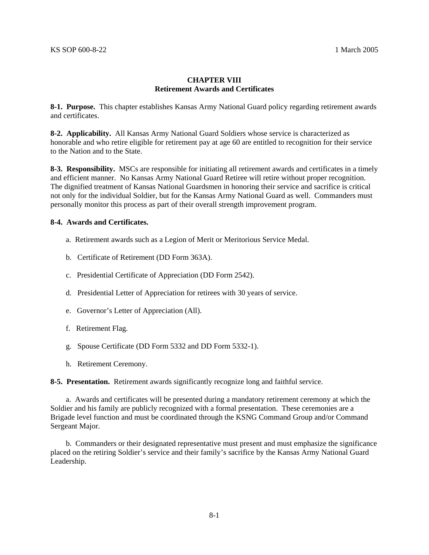# **CHAPTER VIII Retirement Awards and Certificates**

**8-1. Purpose.** This chapter establishes Kansas Army National Guard policy regarding retirement awards and certificates.

**8-2. Applicability.** All Kansas Army National Guard Soldiers whose service is characterized as honorable and who retire eligible for retirement pay at age 60 are entitled to recognition for their service to the Nation and to the State.

**8-3. Responsibility.** MSCs are responsible for initiating all retirement awards and certificates in a timely and efficient manner. No Kansas Army National Guard Retiree will retire without proper recognition. The dignified treatment of Kansas National Guardsmen in honoring their service and sacrifice is critical not only for the individual Soldier, but for the Kansas Army National Guard as well. Commanders must personally monitor this process as part of their overall strength improvement program.

# **8-4. Awards and Certificates.**

- a. Retirement awards such as a Legion of Merit or Meritorious Service Medal.
- b. Certificate of Retirement (DD Form 363A).
- c. Presidential Certificate of Appreciation (DD Form 2542).
- d. Presidential Letter of Appreciation for retirees with 30 years of service.
- e. Governor's Letter of Appreciation (All).
- f. Retirement Flag.
- g. Spouse Certificate (DD Form 5332 and DD Form 5332-1).
- h. Retirement Ceremony.

**8-5. Presentation.** Retirement awards significantly recognize long and faithful service.

 a. Awards and certificates will be presented during a mandatory retirement ceremony at which the Soldier and his family are publicly recognized with a formal presentation. These ceremonies are a Brigade level function and must be coordinated through the KSNG Command Group and/or Command Sergeant Major.

 b. Commanders or their designated representative must present and must emphasize the significance placed on the retiring Soldier's service and their family's sacrifice by the Kansas Army National Guard Leadership.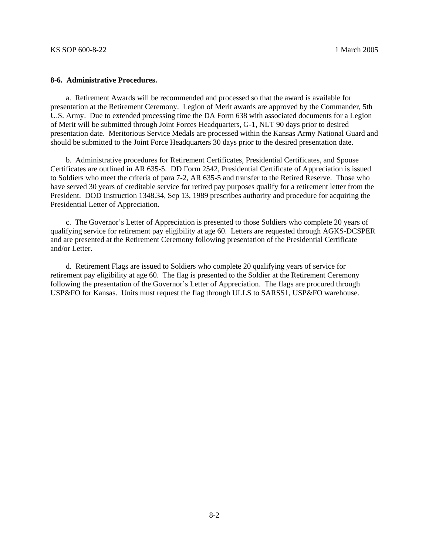# **8-6. Administrative Procedures.**

 a. Retirement Awards will be recommended and processed so that the award is available for presentation at the Retirement Ceremony. Legion of Merit awards are approved by the Commander, 5th U.S. Army. Due to extended processing time the DA Form 638 with associated documents for a Legion of Merit will be submitted through Joint Forces Headquarters, G-1, NLT 90 days prior to desired presentation date. Meritorious Service Medals are processed within the Kansas Army National Guard and should be submitted to the Joint Force Headquarters 30 days prior to the desired presentation date.

 b. Administrative procedures for Retirement Certificates, Presidential Certificates, and Spouse Certificates are outlined in AR 635-5. DD Form 2542, Presidential Certificate of Appreciation is issued to Soldiers who meet the criteria of para 7-2, AR 635-5 and transfer to the Retired Reserve. Those who have served 30 years of creditable service for retired pay purposes qualify for a retirement letter from the President. DOD Instruction 1348.34, Sep 13, 1989 prescribes authority and procedure for acquiring the Presidential Letter of Appreciation.

 c. The Governor's Letter of Appreciation is presented to those Soldiers who complete 20 years of qualifying service for retirement pay eligibility at age 60. Letters are requested through AGKS-DCSPER and are presented at the Retirement Ceremony following presentation of the Presidential Certificate and/or Letter.

 d. Retirement Flags are issued to Soldiers who complete 20 qualifying years of service for retirement pay eligibility at age 60. The flag is presented to the Soldier at the Retirement Ceremony following the presentation of the Governor's Letter of Appreciation. The flags are procured through USP&FO for Kansas. Units must request the flag through ULLS to SARSS1, USP&FO warehouse.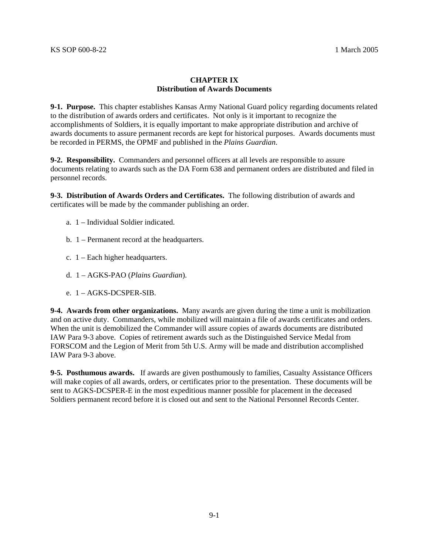# **CHAPTER IX Distribution of Awards Documents**

**9-1. Purpose.** This chapter establishes Kansas Army National Guard policy regarding documents related to the distribution of awards orders and certificates. Not only is it important to recognize the accomplishments of Soldiers, it is equally important to make appropriate distribution and archive of awards documents to assure permanent records are kept for historical purposes. Awards documents must be recorded in PERMS, the OPMF and published in the *Plains Guardian*.

**9-2. Responsibility.** Commanders and personnel officers at all levels are responsible to assure documents relating to awards such as the DA Form 638 and permanent orders are distributed and filed in personnel records.

**9-3. Distribution of Awards Orders and Certificates.** The following distribution of awards and certificates will be made by the commander publishing an order.

- a. 1 Individual Soldier indicated.
- b. 1 Permanent record at the headquarters.
- c. 1 Each higher headquarters.
- d. 1 AGKS-PAO (*Plains Guardian*).
- e. 1 AGKS-DCSPER-SIB.

**9-4. Awards from other organizations.** Many awards are given during the time a unit is mobilization and on active duty. Commanders, while mobilized will maintain a file of awards certificates and orders. When the unit is demobilized the Commander will assure copies of awards documents are distributed IAW Para 9-3 above. Copies of retirement awards such as the Distinguished Service Medal from FORSCOM and the Legion of Merit from 5th U.S. Army will be made and distribution accomplished IAW Para 9-3 above.

**9-5. Posthumous awards.** If awards are given posthumously to families, Casualty Assistance Officers will make copies of all awards, orders, or certificates prior to the presentation. These documents will be sent to AGKS-DCSPER-E in the most expeditious manner possible for placement in the deceased Soldiers permanent record before it is closed out and sent to the National Personnel Records Center.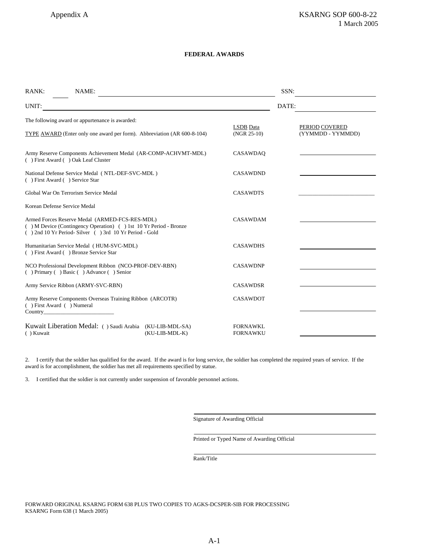#### **FEDERAL AWARDS**

| RANK:<br>NAME:                                                                                                                                                              |                |                                    | SSN:                                |  |
|-----------------------------------------------------------------------------------------------------------------------------------------------------------------------------|----------------|------------------------------------|-------------------------------------|--|
| UNIT:<br><u> 1980 - John Stein, Amerikaansk politiker (* 1900)</u>                                                                                                          |                |                                    | DATE:                               |  |
| The following award or appurtenance is awarded:<br>TYPE AWARD (Enter only one award per form). Abbreviation (AR 600-8-104)                                                  |                | LSDB Data<br>$(NGR 25-10)$         | PERIOD COVERED<br>(YYMMDD - YYMMDD) |  |
| Army Reserve Components Achievement Medal (AR-COMP-ACHVMT-MDL)<br>() First Award () Oak Leaf Cluster                                                                        |                | CASAWDAQ                           |                                     |  |
| National Defense Service Medal (NTL-DEF-SVC-MDL)<br>() First Award () Service Star                                                                                          |                | <b>CASAWDND</b>                    |                                     |  |
| Global War On Terrorism Service Medal                                                                                                                                       |                | <b>CASAWDTS</b>                    |                                     |  |
| Korean Defense Service Medal                                                                                                                                                |                |                                    |                                     |  |
| Armed Forces Reserve Medal (ARMED-FCS-RES-MDL)<br>() M Device (Contingency Operation) () 1st 10 Yr Period - Bronze<br>() 2nd 10 Yr Period-Silver () 3rd 10 Yr Period - Gold |                | <b>CASAWDAM</b>                    |                                     |  |
| Humanitarian Service Medal (HUM-SVC-MDL)<br>() First Award () Bronze Service Star                                                                                           |                | <b>CASAWDHS</b>                    |                                     |  |
| NCO Professional Development Ribbon (NCO-PROF-DEV-RBN)<br>() Primary () Basic () Advance () Senior                                                                          |                | <b>CASAWDNP</b>                    |                                     |  |
| Army Service Ribbon (ARMY-SVC-RBN)                                                                                                                                          |                | <b>CASAWDSR</b>                    |                                     |  |
| Army Reserve Components Overseas Training Ribbon (ARCOTR)<br>() First Award () Numeral                                                                                      |                | <b>CASAWDOT</b>                    |                                     |  |
| Kuwait Liberation Medal: () Saudi Arabia (KU-LIB-MDL-SA)<br>$( )$ Kuwait                                                                                                    | (KU-LIB-MDL-K) | <b>FORNAWKL</b><br><b>FORNAWKU</b> |                                     |  |

2. I certify that the soldier has qualified for the award. If the award is for long service, the soldier has completed the required years of service. If the award is for accomplishment, the soldier has met all requirements specified by statue.

3. I certified that the soldier is not currently under suspension of favorable personnel actions.

Signature of Awarding Official

Printed or Typed Name of Awarding Official

Rank/Title

FORWARD ORIGINAL KSARNG FORM 638 PLUS TWO COPIES TO AGKS-DCSPER-SIB FOR PROCESSING KSARNG Form 638 (1 March 2005)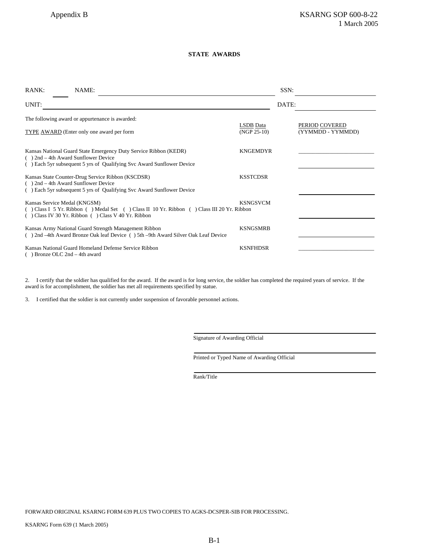#### **STATE AWARDS**

| RANK:                              | NAME:                                                                                                                                                                               |                  | SSN:              |  |
|------------------------------------|-------------------------------------------------------------------------------------------------------------------------------------------------------------------------------------|------------------|-------------------|--|
| UNIT:                              |                                                                                                                                                                                     |                  | DATE:             |  |
|                                    | The following award or appurtenance is awarded:                                                                                                                                     | <b>LSDB</b> Data | PERIOD COVERED    |  |
|                                    | TYPE AWARD (Enter only one award per form                                                                                                                                           | $(NGP 25-10)$    | (YYMMDD - YYMMDD) |  |
|                                    | Kansas National Guard State Emergency Duty Service Ribbon (KEDR)<br>$( )$ 2nd – 4th Award Sunflower Device<br>() Each 5yr subsequent 5 yrs of Qualifying Svc Award Sunflower Device | <b>KNGEMDYR</b>  |                   |  |
|                                    | Kansas State Counter-Drug Service Ribbon (KSCDSR)<br>$( )$ 2nd – 4th Award Sunflower Device<br>() Each 5yr subsequent 5 yrs of Qualifying Svc Award Sunflower Device                | <b>KSSTCDSR</b>  |                   |  |
| Kansas Service Medal (KNGSM)       | (c) Class I 5 Yr. Ribbon (c) Medal Set (c) Class II 10 Yr. Ribbon (c) Class III 20 Yr. Ribbon<br>$($ Class IV 30 Yr. Ribbon $($ Class V 40 Yr. Ribbon                               | <b>KSNGSVCM</b>  |                   |  |
|                                    | Kansas Army National Guard Strength Management Ribbon<br>() 2nd -4th Award Bronze Oak leaf Device () 5th -9th Award Silver Oak Leaf Device                                          | <b>KSNGSMRB</b>  |                   |  |
| $( )$ Bronze OLC 2nd $-$ 4th award | Kansas National Guard Homeland Defense Service Ribbon                                                                                                                               | <b>KSNFHDSR</b>  |                   |  |

2. I certify that the soldier has qualified for the award. If the award is for long service, the soldier has completed the required years of service. If the award is for accomplishment, the soldier has met all requirements specified by statue.

3. I certified that the soldier is not currently under suspension of favorable personnel actions.

Signature of Awarding Official

Printed or Typed Name of Awarding Official

Rank/Title

FORWARD ORIGINAL KSARNG FORM 639 PLUS TWO COPIES TO AGKS-DCSPER-SIB FOR PROCESSING.

KSARNG Form 639 (1 March 2005)